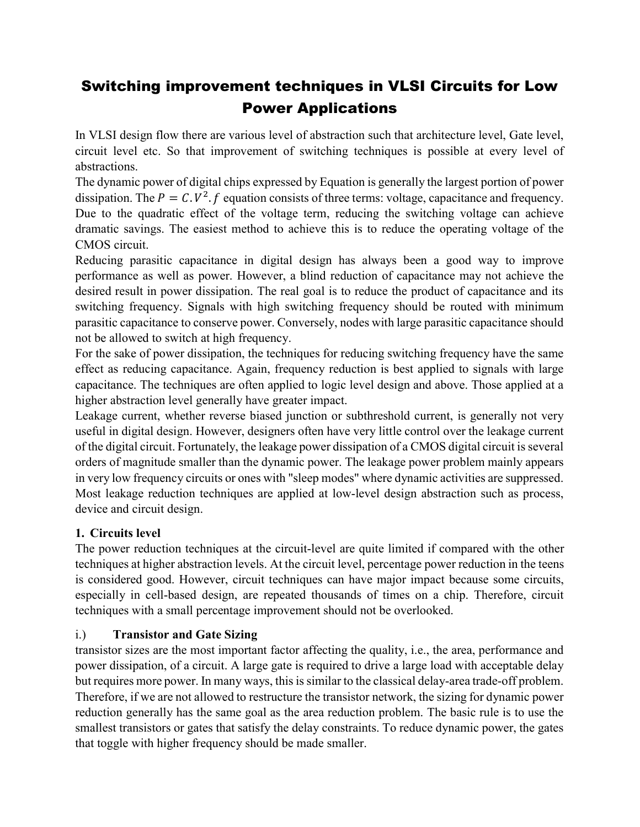# Switching improvement techniques in VLSI Circuits for Low Power Applications

In VLSI design flow there are various level of abstraction such that architecture level, Gate level, circuit level etc. So that improvement of switching techniques is possible at every level of abstractions.

The dynamic power of digital chips expressed by Equation is generally the largest portion of power dissipation. The  $P = C.V^2.f$  equation consists of three terms: voltage, capacitance and frequency. Due to the quadratic effect of the voltage term, reducing the switching voltage can achieve dramatic savings. The easiest method to achieve this is to reduce the operating voltage of the CMOS circuit.

Reducing parasitic capacitance in digital design has always been a good way to improve performance as well as power. However, a blind reduction of capacitance may not achieve the desired result in power dissipation. The real goal is to reduce the product of capacitance and its switching frequency. Signals with high switching frequency should be routed with minimum parasitic capacitance to conserve power. Conversely, nodes with large parasitic capacitance should not be allowed to switch at high frequency.

For the sake of power dissipation, the techniques for reducing switching frequency have the same effect as reducing capacitance. Again, frequency reduction is best applied to signals with large capacitance. The techniques are often applied to logic level design and above. Those applied at a higher abstraction level generally have greater impact.

Leakage current, whether reverse biased junction or subthreshold current, is generally not very useful in digital design. However, designers often have very little control over the leakage current of the digital circuit. Fortunately, the leakage power dissipation of a CMOS digital circuit is several orders of magnitude smaller than the dynamic power. The leakage power problem mainly appears in very low frequency circuits or ones with "sleep modes" where dynamic activities are suppressed. Most leakage reduction techniques are applied at low-level design abstraction such as process, device and circuit design.

## 1. Circuits level

The power reduction techniques at the circuit-level are quite limited if compared with the other techniques at higher abstraction levels. At the circuit level, percentage power reduction in the teens is considered good. However, circuit techniques can have major impact because some circuits, especially in cell-based design, are repeated thousands of times on a chip. Therefore, circuit techniques with a small percentage improvement should not be overlooked.

## i.) Transistor and Gate Sizing

transistor sizes are the most important factor affecting the quality, i.e., the area, performance and power dissipation, of a circuit. A large gate is required to drive a large load with acceptable delay but requires more power. In many ways, this is similar to the classical delay-area trade-off problem. Therefore, if we are not allowed to restructure the transistor network, the sizing for dynamic power reduction generally has the same goal as the area reduction problem. The basic rule is to use the smallest transistors or gates that satisfy the delay constraints. To reduce dynamic power, the gates that toggle with higher frequency should be made smaller.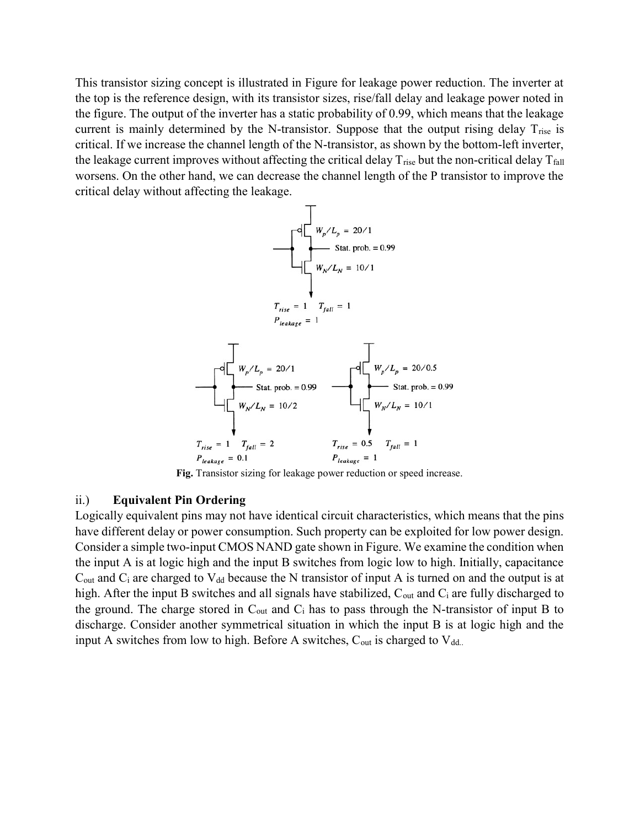This transistor sizing concept is illustrated in Figure for leakage power reduction. The inverter at the top is the reference design, with its transistor sizes, rise/fall delay and leakage power noted in the figure. The output of the inverter has a static probability of 0.99, which means that the leakage current is mainly determined by the N-transistor. Suppose that the output rising delay  $T_{\text{rise}}$  is critical. If we increase the channel length of the N-transistor, as shown by the bottom-left inverter, the leakage current improves without affecting the critical delay  $T_{\text{rise}}$  but the non-critical delay  $T_{\text{fall}}$ worsens. On the other hand, we can decrease the channel length of the P transistor to improve the critical delay without affecting the leakage.



Fig. Transistor sizing for leakage power reduction or speed increase.

#### ii.) Equivalent Pin Ordering

Logically equivalent pins may not have identical circuit characteristics, which means that the pins have different delay or power consumption. Such property can be exploited for low power design. Consider a simple two-input CMOS NAND gate shown in Figure. We examine the condition when the input A is at logic high and the input B switches from logic low to high. Initially, capacitance  $C_{\text{out}}$  and  $C_i$  are charged to  $V_{dd}$  because the N transistor of input A is turned on and the output is at high. After the input B switches and all signals have stabilized,  $C_{out}$  and  $C_i$  are fully discharged to the ground. The charge stored in  $C_{out}$  and  $C_i$  has to pass through the N-transistor of input B to discharge. Consider another symmetrical situation in which the input B is at logic high and the input A switches from low to high. Before A switches,  $C_{out}$  is charged to  $V_{dd.}$